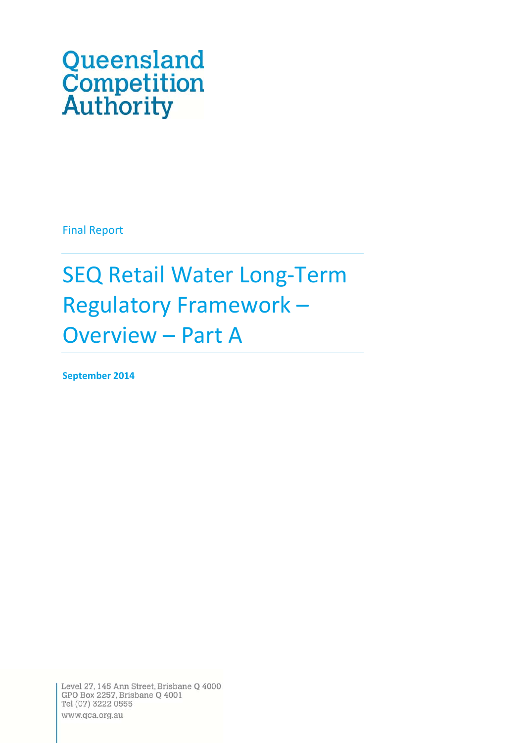# Queensland **Competition**<br>Authority

Final Report

SEQ Retail Water Long‐Term Regulatory Framework – Overview – Part A

**September 2014**

Level 27, 145 Ann Street, Brisbane Q 4000 GPO Box 2257, Brisbane Q 4001 Tel (07) 3222 0555 www.qca.org.au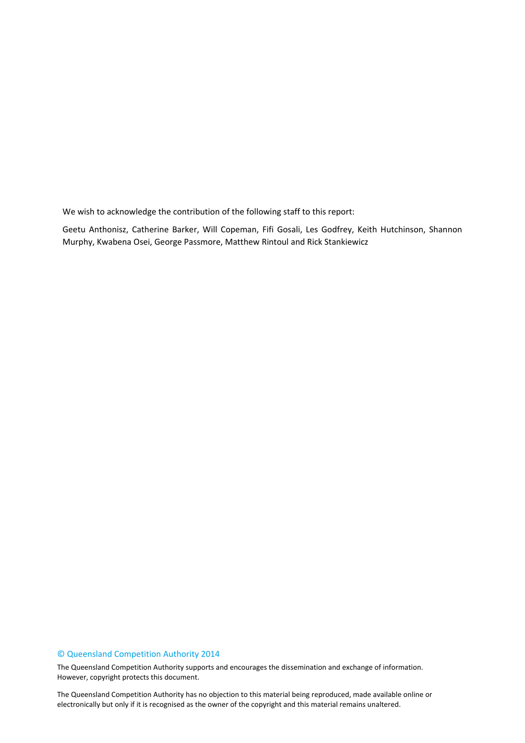We wish to acknowledge the contribution of the following staff to this report:

Geetu Anthonisz, Catherine Barker, Will Copeman, Fifi Gosali, Les Godfrey, Keith Hutchinson, Shannon Murphy, Kwabena Osei, George Passmore, Matthew Rintoul and Rick Stankiewicz

#### © Queensland Competition Authority 2014

The Queensland Competition Authority supports and encourages the dissemination and exchange of information. However, copyright protects this document.

2 electronically but only if it is recognised as the owner of the copyright and this material remains unaltered.The Queensland Competition Authority has no objection to this material being reproduced, made available online or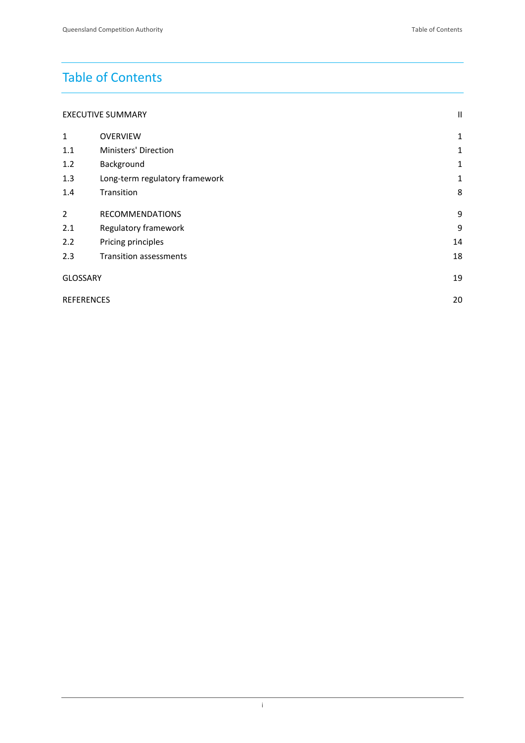# Table of Contents

| <b>EXECUTIVE SUMMARY</b> |  |
|--------------------------|--|
|--------------------------|--|

| $\mathbf{1}$      | <b>OVERVIEW</b>                | 1            |
|-------------------|--------------------------------|--------------|
| 1.1               | Ministers' Direction           | 1            |
| 1.2               | Background                     | $\mathbf{1}$ |
| 1.3               | Long-term regulatory framework | 1            |
| 1.4               | Transition                     | 8            |
| 2                 | <b>RECOMMENDATIONS</b>         | 9            |
| 2.1               | Regulatory framework           | 9            |
| 2.2               | Pricing principles             | 14           |
| 2.3               | <b>Transition assessments</b>  | 18           |
| <b>GLOSSARY</b>   |                                | 19           |
| <b>REFERENCES</b> |                                | 20           |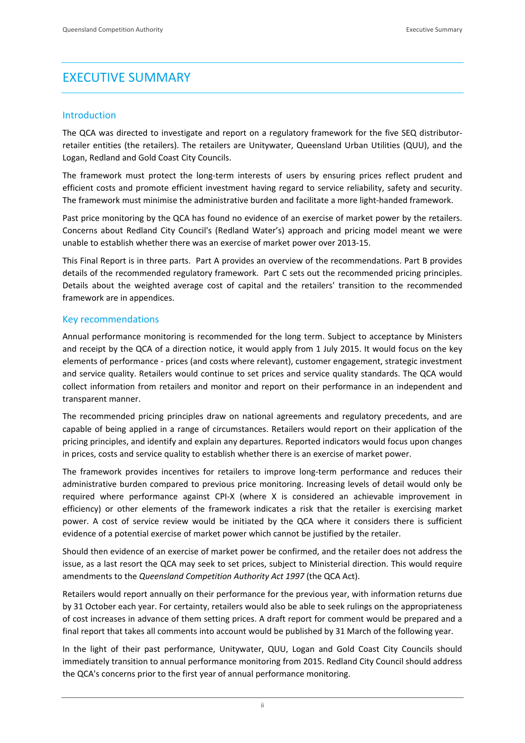## EXECUTIVE SUMMARY

#### Introduction

The QCA was directed to investigate and report on a regulatory framework for the five SEQ distributorretailer entities (the retailers). The retailers are Unitywater, Queensland Urban Utilities (QUU), and the Logan, Redland and Gold Coast City Councils.

The framework must protect the long-term interests of users by ensuring prices reflect prudent and efficient costs and promote efficient investment having regard to service reliability, safety and security. The framework must minimise the administrative burden and facilitate a more light‐handed framework.

Past price monitoring by the QCA has found no evidence of an exercise of market power by the retailers. Concerns about Redland City Council's (Redland Water's) approach and pricing model meant we were unable to establish whether there was an exercise of market power over 2013‐15.

This Final Report is in three parts. Part A provides an overview of the recommendations. Part B provides details of the recommended regulatory framework. Part C sets out the recommended pricing principles. Details about the weighted average cost of capital and the retailers' transition to the recommended framework are in appendices.

#### Key recommendations

Annual performance monitoring is recommended for the long term. Subject to acceptance by Ministers and receipt by the QCA of a direction notice, it would apply from 1 July 2015. It would focus on the key elements of performance ‐ prices (and costs where relevant), customer engagement, strategic investment and service quality. Retailers would continue to set prices and service quality standards. The QCA would collect information from retailers and monitor and report on their performance in an independent and transparent manner.

The recommended pricing principles draw on national agreements and regulatory precedents, and are capable of being applied in a range of circumstances. Retailers would report on their application of the pricing principles, and identify and explain any departures. Reported indicators would focus upon changes in prices, costs and service quality to establish whether there is an exercise of market power.

The framework provides incentives for retailers to improve long-term performance and reduces their administrative burden compared to previous price monitoring. Increasing levels of detail would only be required where performance against CPI‐X (where X is considered an achievable improvement in efficiency) or other elements of the framework indicates a risk that the retailer is exercising market power. A cost of service review would be initiated by the QCA where it considers there is sufficient evidence of a potential exercise of market power which cannot be justified by the retailer.

Should then evidence of an exercise of market power be confirmed, and the retailer does not address the issue, as a last resort the QCA may seek to set prices, subject to Ministerial direction. This would require amendments to the *Queensland Competition Authority Act 1997* (the QCA Act).

Retailers would report annually on their performance for the previous year, with information returns due by 31 October each year. For certainty, retailers would also be able to seek rulings on the appropriateness of cost increases in advance of them setting prices. A draft report for comment would be prepared and a final report that takes all comments into account would be published by 31 March of the following year.

In the light of their past performance, Unitywater, QUU, Logan and Gold Coast City Councils should immediately transition to annual performance monitoring from 2015. Redland City Council should address the QCA's concerns prior to the first year of annual performance monitoring.

ii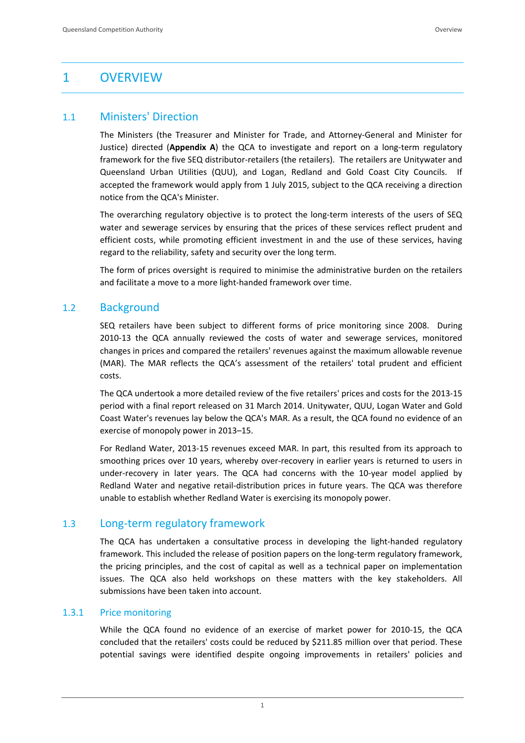## 1 OVERVIEW

#### 1.1 Ministers' Direction

The Ministers (the Treasurer and Minister for Trade, and Attorney‐General and Minister for Justice) directed (**Appendix A**) the QCA to investigate and report on a long‐term regulatory framework for the five SEQ distributor-retailers (the retailers). The retailers are Unitywater and Queensland Urban Utilities (QUU), and Logan, Redland and Gold Coast City Councils. If accepted the framework would apply from 1 July 2015, subject to the QCA receiving a direction notice from the QCA's Minister.

The overarching regulatory objective is to protect the long-term interests of the users of SEQ water and sewerage services by ensuring that the prices of these services reflect prudent and efficient costs, while promoting efficient investment in and the use of these services, having regard to the reliability, safety and security over the long term.

The form of prices oversight is required to minimise the administrative burden on the retailers and facilitate a move to a more light‐handed framework over time.

#### 1.2 Background

SEQ retailers have been subject to different forms of price monitoring since 2008. During 2010-13 the QCA annually reviewed the costs of water and sewerage services, monitored changes in prices and compared the retailers' revenues against the maximum allowable revenue (MAR). The MAR reflects the QCA's assessment of the retailers' total prudent and efficient costs.

The QCA undertook a more detailed review of the five retailers' prices and costs for the 2013‐15 period with a final report released on 31 March 2014. Unitywater, QUU, Logan Water and Gold Coast Water's revenues lay below the QCA's MAR. As a result, the QCA found no evidence of an exercise of monopoly power in 2013–15.

For Redland Water, 2013‐15 revenues exceed MAR. In part, this resulted from its approach to smoothing prices over 10 years, whereby over‐recovery in earlier years is returned to users in under-recovery in later years. The QCA had concerns with the 10-year model applied by Redland Water and negative retail‐distribution prices in future years. The QCA was therefore unable to establish whether Redland Water is exercising its monopoly power.

#### 1.3 Long‐term regulatory framework

The QCA has undertaken a consultative process in developing the light-handed regulatory framework. This included the release of position papers on the long-term regulatory framework, the pricing principles, and the cost of capital as well as a technical paper on implementation issues. The QCA also held workshops on these matters with the key stakeholders. All submissions have been taken into account.

#### 1.3.1 Price monitoring

While the QCA found no evidence of an exercise of market power for 2010‐15, the QCA concluded that the retailers' costs could be reduced by \$211.85 million over that period. These potential savings were identified despite ongoing improvements in retailers' policies and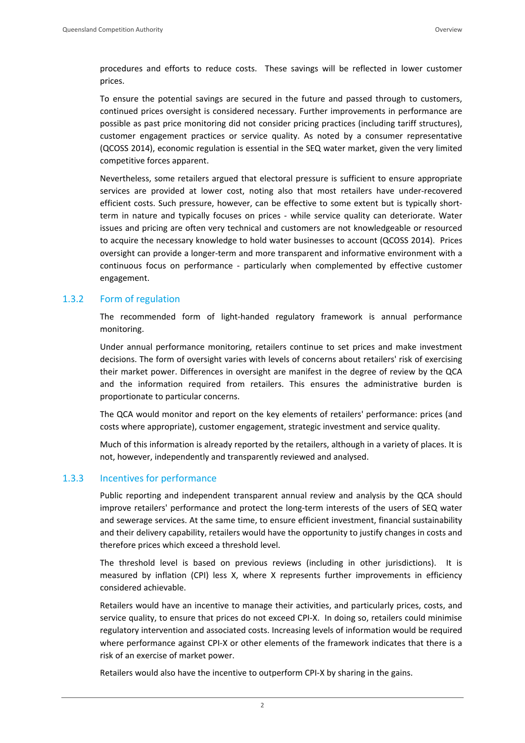procedures and efforts to reduce costs. These savings will be reflected in lower customer prices.

To ensure the potential savings are secured in the future and passed through to customers, continued prices oversight is considered necessary. Further improvements in performance are possible as past price monitoring did not consider pricing practices (including tariff structures), customer engagement practices or service quality. As noted by a consumer representative (QCOSS 2014), economic regulation is essential in the SEQ water market, given the very limited competitive forces apparent.

Nevertheless, some retailers argued that electoral pressure is sufficient to ensure appropriate services are provided at lower cost, noting also that most retailers have under-recovered efficient costs. Such pressure, however, can be effective to some extent but is typically short‐ term in nature and typically focuses on prices - while service quality can deteriorate. Water issues and pricing are often very technical and customers are not knowledgeable or resourced to acquire the necessary knowledge to hold water businesses to account (QCOSS 2014). Prices oversight can provide a longer‐term and more transparent and informative environment with a continuous focus on performance - particularly when complemented by effective customer engagement.

#### 1.3.2 Form of regulation

The recommended form of light-handed regulatory framework is annual performance monitoring.

Under annual performance monitoring, retailers continue to set prices and make investment decisions. The form of oversight varies with levels of concerns about retailers' risk of exercising their market power. Differences in oversight are manifest in the degree of review by the QCA and the information required from retailers. This ensures the administrative burden is proportionate to particular concerns.

The QCA would monitor and report on the key elements of retailers' performance: prices (and costs where appropriate), customer engagement, strategic investment and service quality.

Much of this information is already reported by the retailers, although in a variety of places. It is not, however, independently and transparently reviewed and analysed.

#### 1.3.3 Incentives for performance

Public reporting and independent transparent annual review and analysis by the QCA should improve retailers' performance and protect the long-term interests of the users of SEQ water and sewerage services. At the same time, to ensure efficient investment, financial sustainability and their delivery capability, retailers would have the opportunity to justify changes in costs and therefore prices which exceed a threshold level.

The threshold level is based on previous reviews (including in other jurisdictions). It is measured by inflation (CPI) less X, where X represents further improvements in efficiency considered achievable.

Retailers would have an incentive to manage their activities, and particularly prices, costs, and service quality, to ensure that prices do not exceed CPI-X. In doing so, retailers could minimise regulatory intervention and associated costs. Increasing levels of information would be required where performance against CPI-X or other elements of the framework indicates that there is a risk of an exercise of market power.

Retailers would also have the incentive to outperform CPI‐X by sharing in the gains.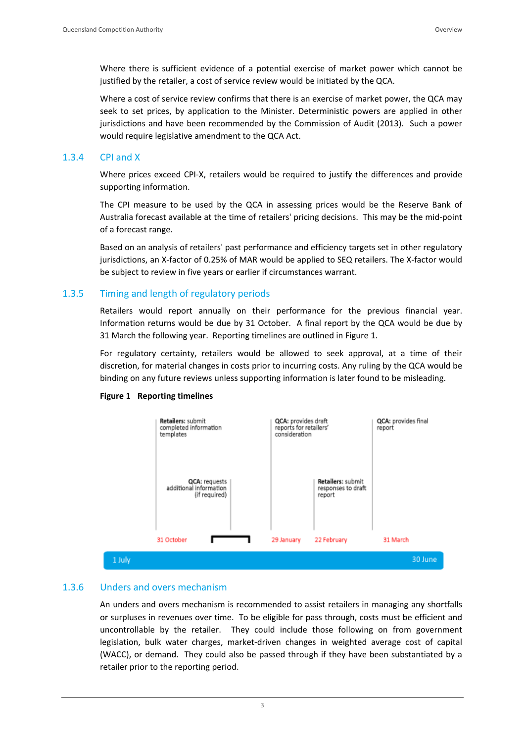Where there is sufficient evidence of a potential exercise of market power which cannot be justified by the retailer, a cost of service review would be initiated by the QCA.

Where a cost of service review confirms that there is an exercise of market power, the QCA may seek to set prices, by application to the Minister. Deterministic powers are applied in other jurisdictions and have been recommended by the Commission of Audit (2013). Such a power would require legislative amendment to the QCA Act.

#### 1.3.4 CPI and X

Where prices exceed CPI-X, retailers would be required to justify the differences and provide supporting information.

The CPI measure to be used by the QCA in assessing prices would be the Reserve Bank of Australia forecast available at the time of retailers' pricing decisions. This may be the mid‐point of a forecast range.

Based on an analysis of retailers' past performance and efficiency targets set in other regulatory jurisdictions, an X‐factor of 0.25% of MAR would be applied to SEQ retailers. The X‐factor would be subject to review in five years or earlier if circumstances warrant.

#### 1.3.5 Timing and length of regulatory periods

Retailers would report annually on their performance for the previous financial year. Information returns would be due by 31 October. A final report by the QCA would be due by 31 March the following year. Reporting timelines are outlined in Figure 1.

For regulatory certainty, retailers would be allowed to seek approval, at a time of their discretion, for material changes in costs prior to incurring costs. Any ruling by the QCA would be binding on any future reviews unless supporting information is later found to be misleading.

#### **Figure 1 Reporting timelines**



#### 1.3.6 Unders and overs mechanism

An unders and overs mechanism is recommended to assist retailers in managing any shortfalls or surpluses in revenues over time. To be eligible for pass through, costs must be efficient and uncontrollable by the retailer. They could include those following on from government legislation, bulk water charges, market-driven changes in weighted average cost of capital (WACC), or demand. They could also be passed through if they have been substantiated by a retailer prior to the reporting period.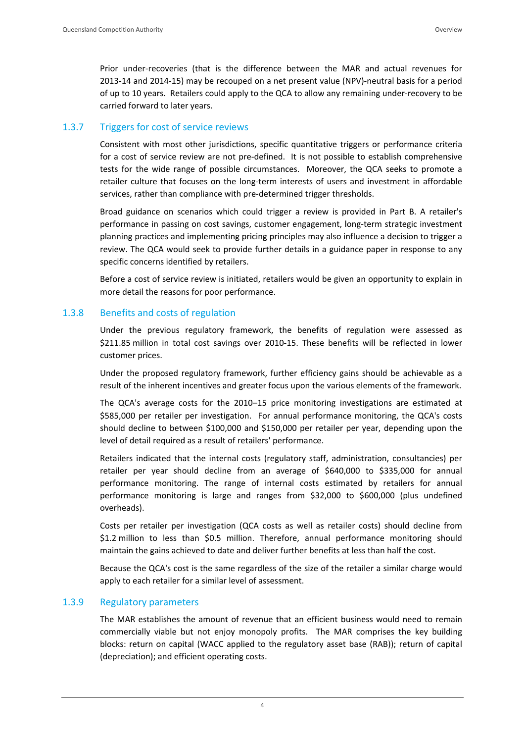Prior under‐recoveries (that is the difference between the MAR and actual revenues for 2013‐14 and 2014‐15) may be recouped on a net present value (NPV)‐neutral basis for a period of up to 10 years. Retailers could apply to the QCA to allow any remaining under‐recovery to be carried forward to later years.

#### 1.3.7 Triggers for cost of service reviews

Consistent with most other jurisdictions, specific quantitative triggers or performance criteria for a cost of service review are not pre-defined. It is not possible to establish comprehensive tests for the wide range of possible circumstances. Moreover, the QCA seeks to promote a retailer culture that focuses on the long-term interests of users and investment in affordable services, rather than compliance with pre-determined trigger thresholds.

Broad guidance on scenarios which could trigger a review is provided in Part B. A retailer's performance in passing on cost savings, customer engagement, long‐term strategic investment planning practices and implementing pricing principles may also influence a decision to trigger a review. The QCA would seek to provide further details in a guidance paper in response to any specific concerns identified by retailers.

Before a cost of service review is initiated, retailers would be given an opportunity to explain in more detail the reasons for poor performance.

#### 1.3.8 Benefits and costs of regulation

Under the previous regulatory framework, the benefits of regulation were assessed as \$211.85 million in total cost savings over 2010-15. These benefits will be reflected in lower customer prices.

Under the proposed regulatory framework, further efficiency gains should be achievable as a result of the inherent incentives and greater focus upon the various elements of the framework.

The QCA's average costs for the 2010–15 price monitoring investigations are estimated at \$585,000 per retailer per investigation. For annual performance monitoring, the QCA's costs should decline to between \$100,000 and \$150,000 per retailer per year, depending upon the level of detail required as a result of retailers' performance.

Retailers indicated that the internal costs (regulatory staff, administration, consultancies) per retailer per year should decline from an average of \$640,000 to \$335,000 for annual performance monitoring. The range of internal costs estimated by retailers for annual performance monitoring is large and ranges from \$32,000 to \$600,000 (plus undefined overheads).

Costs per retailer per investigation (QCA costs as well as retailer costs) should decline from \$1.2 million to less than \$0.5 million. Therefore, annual performance monitoring should maintain the gains achieved to date and deliver further benefits at less than half the cost.

Because the QCA's cost is the same regardless of the size of the retailer a similar charge would apply to each retailer for a similar level of assessment.

#### 1.3.9 Regulatory parameters

The MAR establishes the amount of revenue that an efficient business would need to remain commercially viable but not enjoy monopoly profits. The MAR comprises the key building blocks: return on capital (WACC applied to the regulatory asset base (RAB)); return of capital (depreciation); and efficient operating costs.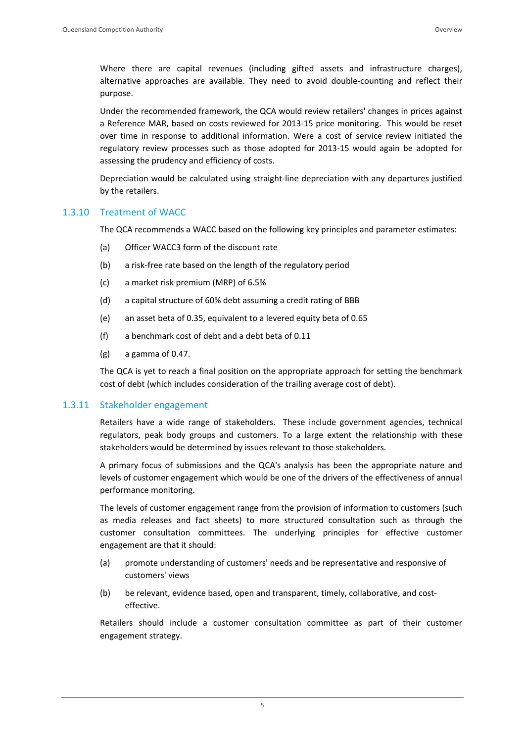Where there are capital revenues (including gifted assets and infrastructure charges), alternative approaches are available. They need to avoid double‐counting and reflect their purpose.

Under the recommended framework, the QCA would review retailers' changes in prices against a Reference MAR, based on costs reviewed for 2013‐15 price monitoring. This would be reset over time in response to additional information. Were a cost of service review initiated the regulatory review processes such as those adopted for 2013‐15 would again be adopted for assessing the prudency and efficiency of costs.

Depreciation would be calculated using straight-line depreciation with any departures justified by the retailers.

#### 1.3.10 Treatment of WACC

The QCA recommends a WACC based on the following key principles and parameter estimates:

- (a) Officer WACC3 form of the discount rate
- (b) a risk‐free rate based on the length of the regulatory period
- (c) a market risk premium (MRP) of 6.5%
- (d) a capital structure of 60% debt assuming a credit rating of BBB
- (e) an asset beta of 0.35, equivalent to a levered equity beta of 0.65
- (f) a benchmark cost of debt and a debt beta of 0.11
- (g) a gamma of 0.47.

The QCA is yet to reach a final position on the appropriate approach for setting the benchmark cost of debt (which includes consideration of the trailing average cost of debt).

#### 1.3.11 Stakeholder engagement

Retailers have a wide range of stakeholders. These include government agencies, technical regulators, peak body groups and customers. To a large extent the relationship with these stakeholders would be determined by issues relevant to those stakeholders.

A primary focus of submissions and the QCA's analysis has been the appropriate nature and levels of customer engagement which would be one of the drivers of the effectiveness of annual performance monitoring.

The levels of customer engagement range from the provision of information to customers (such as media releases and fact sheets) to more structured consultation such as through the customer consultation committees. The underlying principles for effective customer engagement are that it should:

- (a) promote understanding of customers' needs and be representative and responsive of customers' views
- (b) be relevant, evidence based, open and transparent, timely, collaborative, and costeffective.

Retailers should include a customer consultation committee as part of their customer engagement strategy.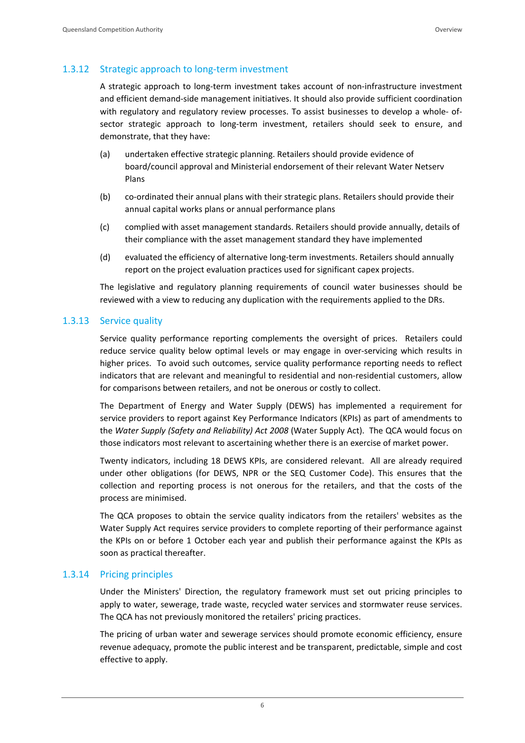#### 1.3.12 Strategic approach to long-term investment

A strategic approach to long‐term investment takes account of non‐infrastructure investment and efficient demand*‐*side management initiatives. It should also provide sufficient coordination with regulatory and regulatory review processes. To assist businesses to develop a whole- ofsector strategic approach to long-term investment, retailers should seek to ensure, and demonstrate, that they have:

- (a) undertaken effective strategic planning. Retailers should provide evidence of board/council approval and Ministerial endorsement of their relevant Water Netserv Plans
- (b) co-ordinated their annual plans with their strategic plans. Retailers should provide their annual capital works plans or annual performance plans
- (c) complied with asset management standards. Retailers should provide annually, details of their compliance with the asset management standard they have implemented
- (d) evaluated the efficiency of alternative long‐term investments. Retailers should annually report on the project evaluation practices used for significant capex projects.

The legislative and regulatory planning requirements of council water businesses should be reviewed with a view to reducing any duplication with the requirements applied to the DRs.

#### 1.3.13 Service quality

Service quality performance reporting complements the oversight of prices. Retailers could reduce service quality below optimal levels or may engage in over-servicing which results in higher prices. To avoid such outcomes, service quality performance reporting needs to reflect indicators that are relevant and meaningful to residential and non‐residential customers, allow for comparisons between retailers, and not be onerous or costly to collect.

The Department of Energy and Water Supply (DEWS) has implemented a requirement for service providers to report against Key Performance Indicators (KPIs) as part of amendments to the *Water Supply (Safety and Reliability) Act 2008* (Water Supply Act). The QCA would focus on those indicators most relevant to ascertaining whether there is an exercise of market power.

Twenty indicators, including 18 DEWS KPIs, are considered relevant. All are already required under other obligations (for DEWS, NPR or the SEQ Customer Code). This ensures that the collection and reporting process is not onerous for the retailers, and that the costs of the process are minimised.

The QCA proposes to obtain the service quality indicators from the retailers' websites as the Water Supply Act requires service providers to complete reporting of their performance against the KPIs on or before 1 October each year and publish their performance against the KPIs as soon as practical thereafter.

#### 1.3.14 Pricing principles

Under the Ministers' Direction, the regulatory framework must set out pricing principles to apply to water, sewerage, trade waste, recycled water services and stormwater reuse services. The QCA has not previously monitored the retailers' pricing practices.

The pricing of urban water and sewerage services should promote economic efficiency, ensure revenue adequacy, promote the public interest and be transparent, predictable, simple and cost effective to apply.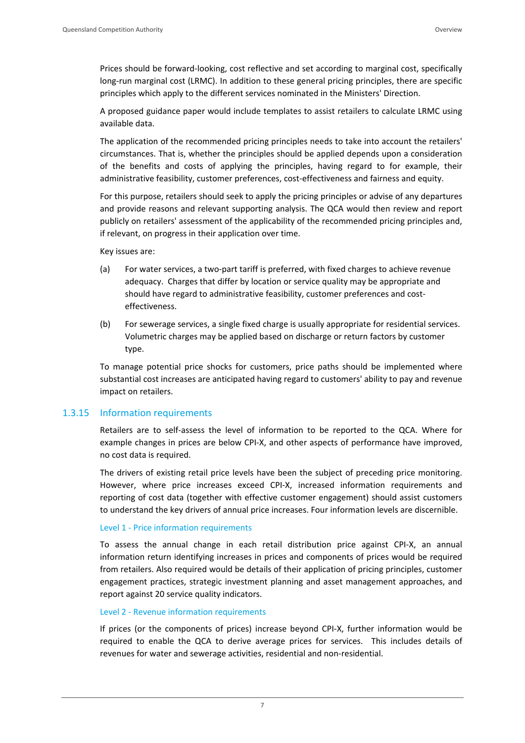Prices should be forward‐looking, cost reflective and set according to marginal cost, specifically long-run marginal cost (LRMC). In addition to these general pricing principles, there are specific principles which apply to the different services nominated in the Ministers' Direction.

A proposed guidance paper would include templates to assist retailers to calculate LRMC using available data.

The application of the recommended pricing principles needs to take into account the retailers' circumstances. That is, whether the principles should be applied depends upon a consideration of the benefits and costs of applying the principles, having regard to for example, their administrative feasibility, customer preferences, cost-effectiveness and fairness and equity.

For this purpose, retailers should seek to apply the pricing principles or advise of any departures and provide reasons and relevant supporting analysis. The QCA would then review and report publicly on retailers' assessment of the applicability of the recommended pricing principles and, if relevant, on progress in their application over time.

Key issues are:

- (a) For water services, a two‐part tariff is preferred, with fixed charges to achieve revenue adequacy. Charges that differ by location or service quality may be appropriate and should have regard to administrative feasibility, customer preferences and costeffectiveness.
- (b) For sewerage services, a single fixed charge is usually appropriate for residential services. Volumetric charges may be applied based on discharge or return factors by customer type.

To manage potential price shocks for customers, price paths should be implemented where substantial cost increases are anticipated having regard to customers' ability to pay and revenue impact on retailers.

#### 1.3.15 Information requirements

Retailers are to self‐assess the level of information to be reported to the QCA. Where for example changes in prices are below CPI‐X, and other aspects of performance have improved, no cost data is required.

The drivers of existing retail price levels have been the subject of preceding price monitoring. However, where price increases exceed CPI‐X, increased information requirements and reporting of cost data (together with effective customer engagement) should assist customers to understand the key drivers of annual price increases. Four information levels are discernible.

#### Level 1 ‐ Price information requirements

To assess the annual change in each retail distribution price against CPI‐X, an annual information return identifying increases in prices and components of prices would be required from retailers. Also required would be details of their application of pricing principles, customer engagement practices, strategic investment planning and asset management approaches, and report against 20 service quality indicators.

#### Level 2 ‐ Revenue information requirements

If prices (or the components of prices) increase beyond CPI‐X, further information would be required to enable the QCA to derive average prices for services. This includes details of revenues for water and sewerage activities, residential and non‐residential.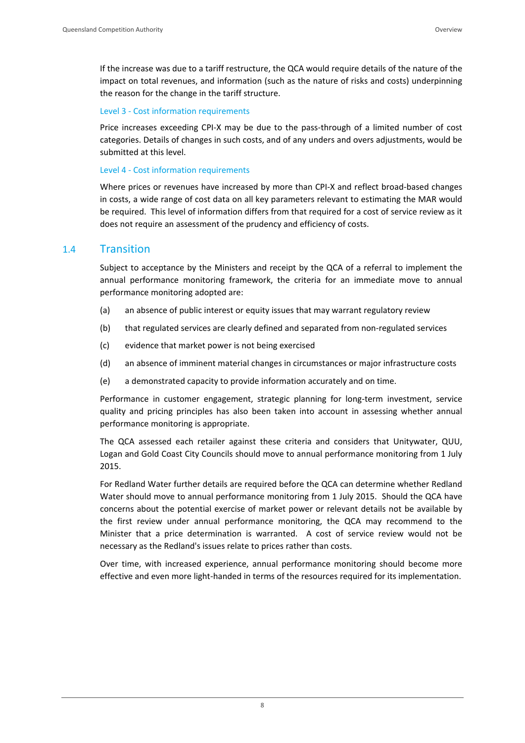If the increase was due to a tariff restructure, the QCA would require details of the nature of the impact on total revenues, and information (such as the nature of risks and costs) underpinning the reason for the change in the tariff structure.

#### Level 3 ‐ Cost information requirements

Price increases exceeding CPI-X may be due to the pass-through of a limited number of cost categories. Details of changes in such costs, and of any unders and overs adjustments, would be submitted at this level.

#### Level 4 ‐ Cost information requirements

Where prices or revenues have increased by more than CPI‐X and reflect broad‐based changes in costs, a wide range of cost data on all key parameters relevant to estimating the MAR would be required. This level of information differs from that required for a cost of service review as it does not require an assessment of the prudency and efficiency of costs.

#### 1.4 Transition

Subject to acceptance by the Ministers and receipt by the QCA of a referral to implement the annual performance monitoring framework, the criteria for an immediate move to annual performance monitoring adopted are:

- (a) an absence of public interest or equity issues that may warrant regulatory review
- (b) that regulated services are clearly defined and separated from non‐regulated services
- (c) evidence that market power is not being exercised
- (d) an absence of imminent material changes in circumstances or major infrastructure costs
- (e) a demonstrated capacity to provide information accurately and on time.

Performance in customer engagement, strategic planning for long‐term investment, service quality and pricing principles has also been taken into account in assessing whether annual performance monitoring is appropriate.

The QCA assessed each retailer against these criteria and considers that Unitywater, QUU, Logan and Gold Coast City Councils should move to annual performance monitoring from 1 July 2015.

For Redland Water further details are required before the QCA can determine whether Redland Water should move to annual performance monitoring from 1 July 2015. Should the QCA have concerns about the potential exercise of market power or relevant details not be available by the first review under annual performance monitoring, the QCA may recommend to the Minister that a price determination is warranted. A cost of service review would not be necessary as the Redland's issues relate to prices rather than costs.

Over time, with increased experience, annual performance monitoring should become more effective and even more light‐handed in terms of the resources required for its implementation.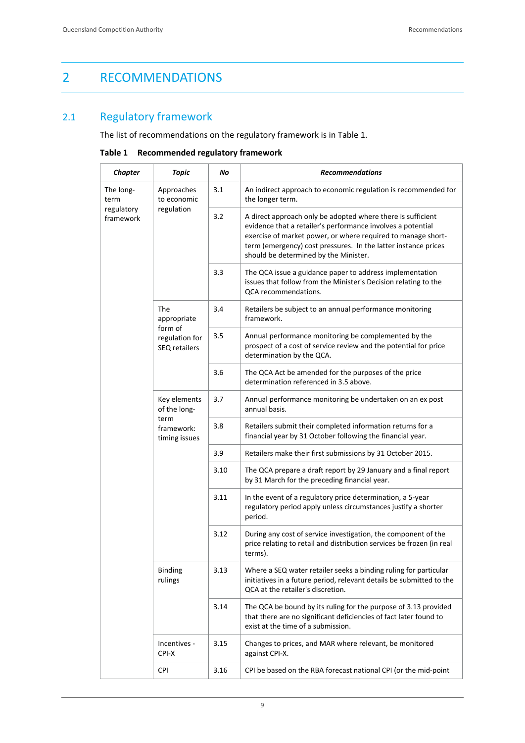## 2 RECOMMENDATIONS

# 2.1 Regulatory framework

The list of recommendations on the regulatory framework is in Table 1.

**Table 1 Recommended regulatory framework**

| <b>Chapter</b>          | <b>Topic</b>                                                        | No   | <b>Recommendations</b>                                                                                                                                                                                                                                                                                |
|-------------------------|---------------------------------------------------------------------|------|-------------------------------------------------------------------------------------------------------------------------------------------------------------------------------------------------------------------------------------------------------------------------------------------------------|
| The long-<br>term       | Approaches<br>to economic<br>regulation                             | 3.1  | An indirect approach to economic regulation is recommended for<br>the longer term.                                                                                                                                                                                                                    |
| regulatory<br>framework |                                                                     | 3.2  | A direct approach only be adopted where there is sufficient<br>evidence that a retailer's performance involves a potential<br>exercise of market power, or where required to manage short-<br>term (emergency) cost pressures. In the latter instance prices<br>should be determined by the Minister. |
|                         |                                                                     | 3.3  | The QCA issue a guidance paper to address implementation<br>issues that follow from the Minister's Decision relating to the<br>QCA recommendations.                                                                                                                                                   |
|                         | The<br>appropriate                                                  | 3.4  | Retailers be subject to an annual performance monitoring<br>framework.                                                                                                                                                                                                                                |
|                         | form of<br>regulation for<br>SEQ retailers                          | 3.5  | Annual performance monitoring be complemented by the<br>prospect of a cost of service review and the potential for price<br>determination by the QCA.                                                                                                                                                 |
|                         |                                                                     | 3.6  | The QCA Act be amended for the purposes of the price<br>determination referenced in 3.5 above.                                                                                                                                                                                                        |
|                         | Key elements<br>of the long-<br>term<br>framework:<br>timing issues | 3.7  | Annual performance monitoring be undertaken on an ex post<br>annual basis.                                                                                                                                                                                                                            |
|                         |                                                                     | 3.8  | Retailers submit their completed information returns for a<br>financial year by 31 October following the financial year.                                                                                                                                                                              |
|                         |                                                                     | 3.9  | Retailers make their first submissions by 31 October 2015.                                                                                                                                                                                                                                            |
|                         |                                                                     | 3.10 | The QCA prepare a draft report by 29 January and a final report<br>by 31 March for the preceding financial year.                                                                                                                                                                                      |
|                         |                                                                     | 3.11 | In the event of a regulatory price determination, a 5-year<br>regulatory period apply unless circumstances justify a shorter<br>period.                                                                                                                                                               |
|                         |                                                                     | 3.12 | During any cost of service investigation, the component of the<br>price relating to retail and distribution services be frozen (in real<br>terms).                                                                                                                                                    |
|                         | <b>Binding</b><br>rulings                                           | 3.13 | Where a SEQ water retailer seeks a binding ruling for particular<br>initiatives in a future period, relevant details be submitted to the<br>QCA at the retailer's discretion.                                                                                                                         |
|                         |                                                                     | 3.14 | The QCA be bound by its ruling for the purpose of 3.13 provided<br>that there are no significant deficiencies of fact later found to<br>exist at the time of a submission.                                                                                                                            |
|                         | Incentives -<br>CPI-X                                               | 3.15 | Changes to prices, and MAR where relevant, be monitored<br>against CPI-X.                                                                                                                                                                                                                             |
|                         | <b>CPI</b>                                                          | 3.16 | CPI be based on the RBA forecast national CPI (or the mid-point                                                                                                                                                                                                                                       |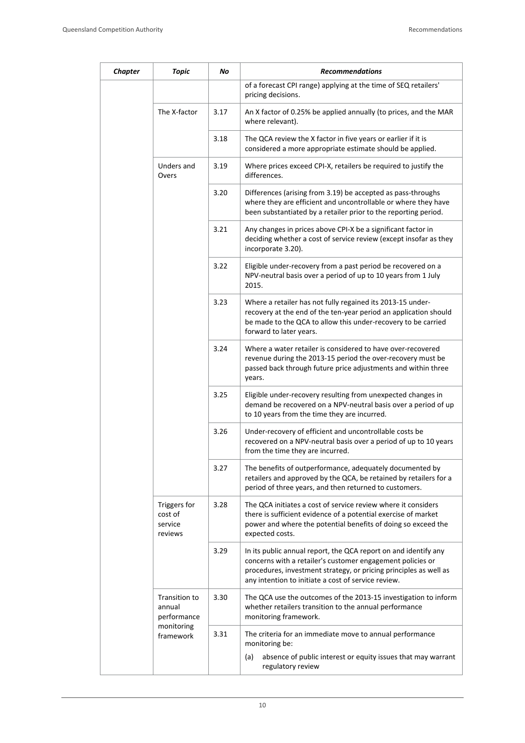| <b>Chapter</b> | <b>Topic</b>                                                      | No   | <b>Recommendations</b>                                                                                                                                                                                                                                    |
|----------------|-------------------------------------------------------------------|------|-----------------------------------------------------------------------------------------------------------------------------------------------------------------------------------------------------------------------------------------------------------|
|                |                                                                   |      | of a forecast CPI range) applying at the time of SEQ retailers'<br>pricing decisions.                                                                                                                                                                     |
|                | The X-factor                                                      | 3.17 | An X factor of 0.25% be applied annually (to prices, and the MAR<br>where relevant).                                                                                                                                                                      |
|                |                                                                   | 3.18 | The QCA review the X factor in five years or earlier if it is<br>considered a more appropriate estimate should be applied.                                                                                                                                |
|                | Unders and<br>Overs                                               | 3.19 | Where prices exceed CPI-X, retailers be required to justify the<br>differences.                                                                                                                                                                           |
|                |                                                                   | 3.20 | Differences (arising from 3.19) be accepted as pass-throughs<br>where they are efficient and uncontrollable or where they have<br>been substantiated by a retailer prior to the reporting period.                                                         |
|                |                                                                   | 3.21 | Any changes in prices above CPI-X be a significant factor in<br>deciding whether a cost of service review (except insofar as they<br>incorporate 3.20).                                                                                                   |
|                |                                                                   | 3.22 | Eligible under-recovery from a past period be recovered on a<br>NPV-neutral basis over a period of up to 10 years from 1 July<br>2015.                                                                                                                    |
|                |                                                                   | 3.23 | Where a retailer has not fully regained its 2013-15 under-<br>recovery at the end of the ten-year period an application should<br>be made to the QCA to allow this under-recovery to be carried<br>forward to later years.                                |
|                |                                                                   | 3.24 | Where a water retailer is considered to have over-recovered<br>revenue during the 2013-15 period the over-recovery must be<br>passed back through future price adjustments and within three<br>years.                                                     |
|                |                                                                   | 3.25 | Eligible under-recovery resulting from unexpected changes in<br>demand be recovered on a NPV-neutral basis over a period of up<br>to 10 years from the time they are incurred.                                                                            |
|                |                                                                   | 3.26 | Under-recovery of efficient and uncontrollable costs be<br>recovered on a NPV-neutral basis over a period of up to 10 years<br>from the time they are incurred.                                                                                           |
|                |                                                                   | 3.27 | The benefits of outperformance, adequately documented by<br>retailers and approved by the QCA, be retained by retailers for a<br>period of three years, and then returned to customers.                                                                   |
|                | Triggers for<br>cost of<br>service<br>reviews                     | 3.28 | The QCA initiates a cost of service review where it considers<br>there is sufficient evidence of a potential exercise of market<br>power and where the potential benefits of doing so exceed the<br>expected costs.                                       |
|                |                                                                   | 3.29 | In its public annual report, the QCA report on and identify any<br>concerns with a retailer's customer engagement policies or<br>procedures, investment strategy, or pricing principles as well as<br>any intention to initiate a cost of service review. |
|                | Transition to<br>annual<br>performance<br>monitoring<br>framework | 3.30 | The QCA use the outcomes of the 2013-15 investigation to inform<br>whether retailers transition to the annual performance<br>monitoring framework.                                                                                                        |
|                |                                                                   | 3.31 | The criteria for an immediate move to annual performance<br>monitoring be:                                                                                                                                                                                |
|                |                                                                   |      | absence of public interest or equity issues that may warrant<br>(a)<br>regulatory review                                                                                                                                                                  |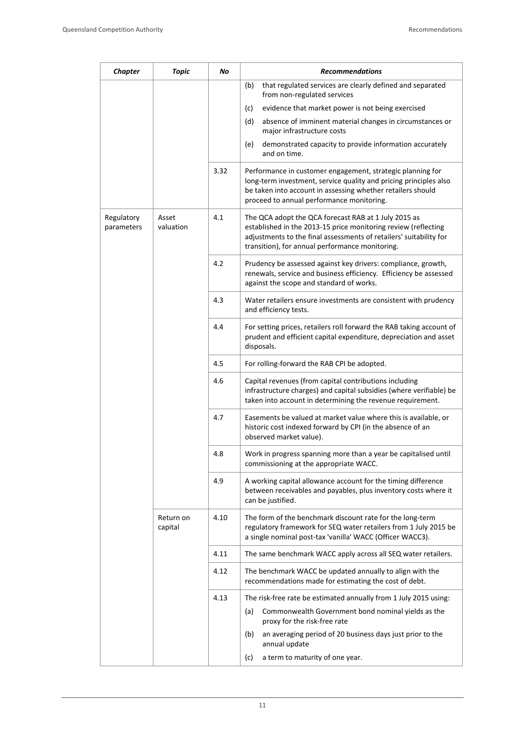| <b>Chapter</b>           | <b>Topic</b>         | No   | <b>Recommendations</b>                                                                                                                                                                                                                          |
|--------------------------|----------------------|------|-------------------------------------------------------------------------------------------------------------------------------------------------------------------------------------------------------------------------------------------------|
|                          |                      |      | that regulated services are clearly defined and separated<br>(b)<br>from non-regulated services                                                                                                                                                 |
|                          |                      |      | evidence that market power is not being exercised<br>(c)                                                                                                                                                                                        |
|                          |                      |      | (d)<br>absence of imminent material changes in circumstances or<br>major infrastructure costs                                                                                                                                                   |
|                          |                      |      | demonstrated capacity to provide information accurately<br>(e)<br>and on time.                                                                                                                                                                  |
|                          |                      | 3.32 | Performance in customer engagement, strategic planning for<br>long-term investment, service quality and pricing principles also<br>be taken into account in assessing whether retailers should<br>proceed to annual performance monitoring.     |
| Regulatory<br>parameters | Asset<br>valuation   | 4.1  | The QCA adopt the QCA forecast RAB at 1 July 2015 as<br>established in the 2013-15 price monitoring review (reflecting<br>adjustments to the final assessments of retailers' suitability for<br>transition), for annual performance monitoring. |
|                          |                      | 4.2  | Prudency be assessed against key drivers: compliance, growth,<br>renewals, service and business efficiency. Efficiency be assessed<br>against the scope and standard of works.                                                                  |
|                          |                      | 4.3  | Water retailers ensure investments are consistent with prudency<br>and efficiency tests.                                                                                                                                                        |
|                          |                      | 4.4  | For setting prices, retailers roll forward the RAB taking account of<br>prudent and efficient capital expenditure, depreciation and asset<br>disposals.                                                                                         |
|                          |                      | 4.5  | For rolling-forward the RAB CPI be adopted.                                                                                                                                                                                                     |
|                          |                      | 4.6  | Capital revenues (from capital contributions including<br>infrastructure charges) and capital subsidies (where verifiable) be<br>taken into account in determining the revenue requirement.                                                     |
|                          |                      | 4.7  | Easements be valued at market value where this is available, or<br>historic cost indexed forward by CPI (in the absence of an<br>observed market value).                                                                                        |
|                          |                      | 4.8  | Work in progress spanning more than a year be capitalised until<br>commissioning at the appropriate WACC.                                                                                                                                       |
|                          |                      | 4.9  | A working capital allowance account for the timing difference<br>between receivables and payables, plus inventory costs where it<br>can be justified.                                                                                           |
|                          | Return on<br>capital | 4.10 | The form of the benchmark discount rate for the long-term<br>regulatory framework for SEQ water retailers from 1 July 2015 be<br>a single nominal post-tax 'vanilla' WACC (Officer WACC3).                                                      |
|                          |                      | 4.11 | The same benchmark WACC apply across all SEQ water retailers.                                                                                                                                                                                   |
|                          |                      | 4.12 | The benchmark WACC be updated annually to align with the<br>recommendations made for estimating the cost of debt.                                                                                                                               |
|                          |                      | 4.13 | The risk-free rate be estimated annually from 1 July 2015 using:                                                                                                                                                                                |
|                          |                      |      | Commonwealth Government bond nominal yields as the<br>(a)<br>proxy for the risk-free rate                                                                                                                                                       |
|                          |                      |      | (b)<br>an averaging period of 20 business days just prior to the<br>annual update                                                                                                                                                               |
|                          |                      |      | (c)<br>a term to maturity of one year.                                                                                                                                                                                                          |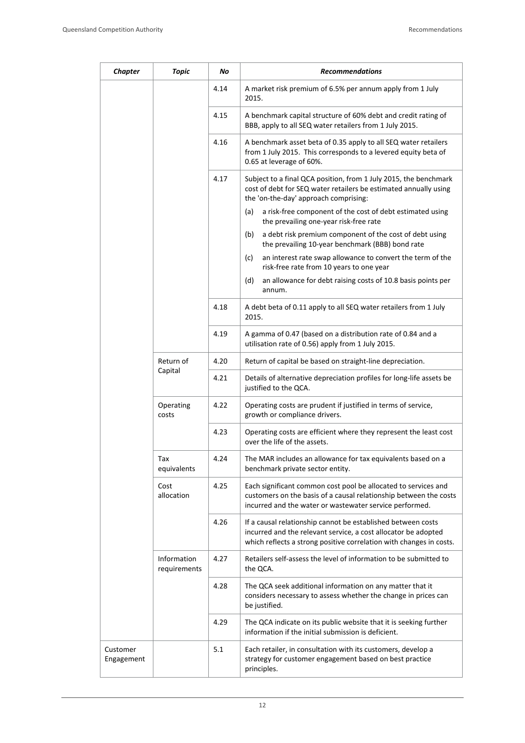| <b>Chapter</b>         | <b>Topic</b>                | No   | <b>Recommendations</b>                                                                                                                                                                                |
|------------------------|-----------------------------|------|-------------------------------------------------------------------------------------------------------------------------------------------------------------------------------------------------------|
|                        |                             | 4.14 | A market risk premium of 6.5% per annum apply from 1 July<br>2015.                                                                                                                                    |
|                        |                             | 4.15 | A benchmark capital structure of 60% debt and credit rating of<br>BBB, apply to all SEQ water retailers from 1 July 2015.                                                                             |
|                        |                             | 4.16 | A benchmark asset beta of 0.35 apply to all SEQ water retailers<br>from 1 July 2015. This corresponds to a levered equity beta of<br>0.65 at leverage of 60%.                                         |
|                        |                             | 4.17 | Subject to a final QCA position, from 1 July 2015, the benchmark<br>cost of debt for SEQ water retailers be estimated annually using<br>the 'on-the-day' approach comprising:                         |
|                        |                             |      | a risk-free component of the cost of debt estimated using<br>(a)<br>the prevailing one-year risk-free rate                                                                                            |
|                        |                             |      | a debt risk premium component of the cost of debt using<br>(b)<br>the prevailing 10-year benchmark (BBB) bond rate                                                                                    |
|                        |                             |      | (c)<br>an interest rate swap allowance to convert the term of the<br>risk-free rate from 10 years to one year                                                                                         |
|                        |                             |      | (d)<br>an allowance for debt raising costs of 10.8 basis points per<br>annum.                                                                                                                         |
|                        |                             | 4.18 | A debt beta of 0.11 apply to all SEQ water retailers from 1 July<br>2015.                                                                                                                             |
|                        |                             | 4.19 | A gamma of 0.47 (based on a distribution rate of 0.84 and a<br>utilisation rate of 0.56) apply from 1 July 2015.                                                                                      |
|                        | Return of<br>Capital        | 4.20 | Return of capital be based on straight-line depreciation.                                                                                                                                             |
|                        |                             | 4.21 | Details of alternative depreciation profiles for long-life assets be<br>justified to the QCA.                                                                                                         |
|                        | Operating<br>costs          | 4.22 | Operating costs are prudent if justified in terms of service,<br>growth or compliance drivers.                                                                                                        |
|                        |                             | 4.23 | Operating costs are efficient where they represent the least cost<br>over the life of the assets.                                                                                                     |
|                        | Tax<br>equivalents          | 4.24 | The MAR includes an allowance for tax equivalents based on a<br>benchmark private sector entity.                                                                                                      |
|                        | Cost<br>allocation          | 4.25 | Each significant common cost pool be allocated to services and<br>customers on the basis of a causal relationship between the costs<br>incurred and the water or wastewater service performed.        |
|                        |                             | 4.26 | If a causal relationship cannot be established between costs<br>incurred and the relevant service, a cost allocator be adopted<br>which reflects a strong positive correlation with changes in costs. |
|                        | Information<br>requirements | 4.27 | Retailers self-assess the level of information to be submitted to<br>the QCA.                                                                                                                         |
|                        |                             | 4.28 | The QCA seek additional information on any matter that it<br>considers necessary to assess whether the change in prices can<br>be justified.                                                          |
|                        |                             | 4.29 | The QCA indicate on its public website that it is seeking further<br>information if the initial submission is deficient.                                                                              |
| Customer<br>Engagement |                             | 5.1  | Each retailer, in consultation with its customers, develop a<br>strategy for customer engagement based on best practice<br>principles.                                                                |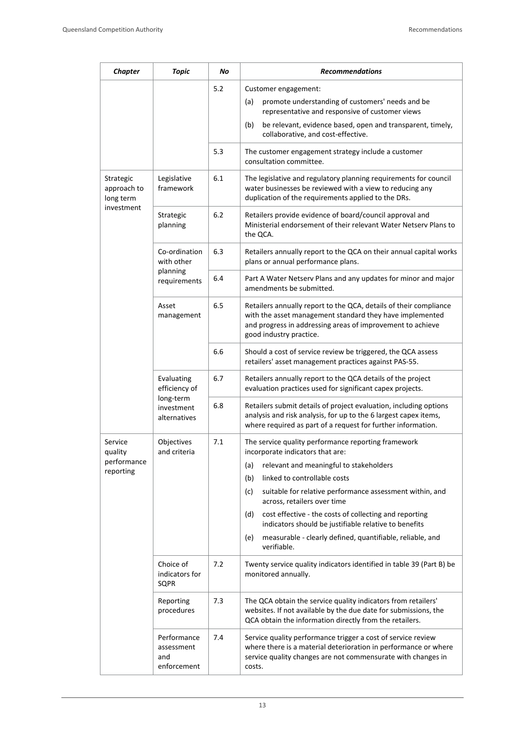| <b>Chapter</b>                        | <b>Topic</b>                                                           | No  | <b>Recommendations</b>                                                                                                                                                                                                 |
|---------------------------------------|------------------------------------------------------------------------|-----|------------------------------------------------------------------------------------------------------------------------------------------------------------------------------------------------------------------------|
|                                       |                                                                        | 5.2 | Customer engagement:<br>promote understanding of customers' needs and be<br>(a)<br>representative and responsive of customer views                                                                                     |
|                                       |                                                                        |     | (b)<br>be relevant, evidence based, open and transparent, timely,<br>collaborative, and cost-effective.                                                                                                                |
|                                       |                                                                        | 5.3 | The customer engagement strategy include a customer<br>consultation committee.                                                                                                                                         |
| Strategic<br>approach to<br>long term | Legislative<br>framework                                               | 6.1 | The legislative and regulatory planning requirements for council<br>water businesses be reviewed with a view to reducing any<br>duplication of the requirements applied to the DRs.                                    |
| investment                            | Strategic<br>planning                                                  | 6.2 | Retailers provide evidence of board/council approval and<br>Ministerial endorsement of their relevant Water Netsery Plans to<br>the QCA.                                                                               |
|                                       | Co-ordination<br>with other                                            | 6.3 | Retailers annually report to the QCA on their annual capital works<br>plans or annual performance plans.                                                                                                               |
|                                       | planning<br>requirements                                               | 6.4 | Part A Water Netserv Plans and any updates for minor and major<br>amendments be submitted.                                                                                                                             |
|                                       | Asset<br>management                                                    | 6.5 | Retailers annually report to the QCA, details of their compliance<br>with the asset management standard they have implemented<br>and progress in addressing areas of improvement to achieve<br>good industry practice. |
|                                       |                                                                        | 6.6 | Should a cost of service review be triggered, the QCA assess<br>retailers' asset management practices against PAS-55.                                                                                                  |
|                                       | Evaluating<br>efficiency of<br>long-term<br>investment<br>alternatives | 6.7 | Retailers annually report to the QCA details of the project<br>evaluation practices used for significant capex projects.                                                                                               |
|                                       |                                                                        | 6.8 | Retailers submit details of project evaluation, including options<br>analysis and risk analysis, for up to the 6 largest capex items,<br>where required as part of a request for further information.                  |
| Service<br>quality                    | Objectives<br>and criteria                                             | 7.1 | The service quality performance reporting framework<br>incorporate indicators that are:                                                                                                                                |
| performance<br>reporting              |                                                                        |     | relevant and meaningful to stakeholders<br>(a)                                                                                                                                                                         |
|                                       |                                                                        |     | linked to controllable costs<br>(b)                                                                                                                                                                                    |
|                                       |                                                                        |     | (c)<br>suitable for relative performance assessment within, and<br>across, retailers over time                                                                                                                         |
|                                       |                                                                        |     | cost effective - the costs of collecting and reporting<br>(d)<br>indicators should be justifiable relative to benefits                                                                                                 |
|                                       |                                                                        |     | measurable - clearly defined, quantifiable, reliable, and<br>(e)<br>verifiable.                                                                                                                                        |
|                                       | Choice of<br>indicators for<br>SQPR                                    | 7.2 | Twenty service quality indicators identified in table 39 (Part B) be<br>monitored annually.                                                                                                                            |
|                                       | Reporting<br>procedures                                                | 7.3 | The QCA obtain the service quality indicators from retailers'<br>websites. If not available by the due date for submissions, the<br>QCA obtain the information directly from the retailers.                            |
|                                       | Performance<br>assessment<br>and<br>enforcement                        | 7.4 | Service quality performance trigger a cost of service review<br>where there is a material deterioration in performance or where<br>service quality changes are not commensurate with changes in<br>costs.              |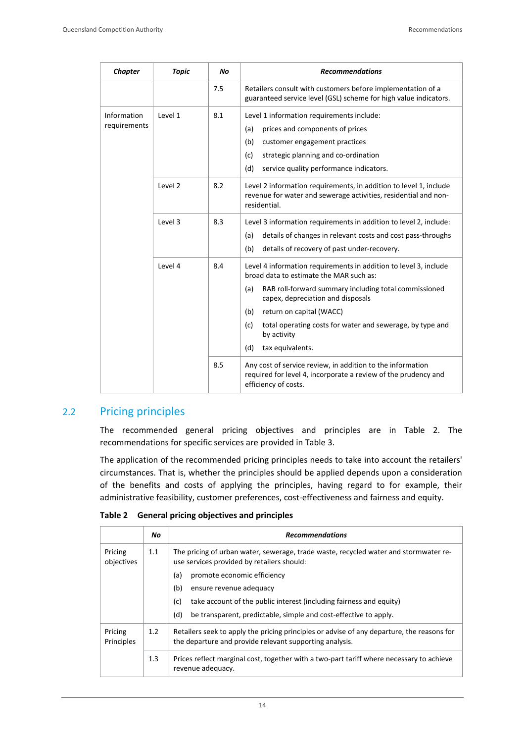| <b>Chapter</b>              | <b>Topic</b> | <b>No</b> | <b>Recommendations</b>                                                                                                                                                                                                                                                                                                                                            |
|-----------------------------|--------------|-----------|-------------------------------------------------------------------------------------------------------------------------------------------------------------------------------------------------------------------------------------------------------------------------------------------------------------------------------------------------------------------|
|                             |              | 7.5       | Retailers consult with customers before implementation of a<br>guaranteed service level (GSL) scheme for high value indicators.                                                                                                                                                                                                                                   |
| Information<br>requirements | Level 1      | 8.1       | Level 1 information requirements include:<br>prices and components of prices<br>(a)<br>(b)<br>customer engagement practices<br>strategic planning and co-ordination<br>(c)<br>(d)<br>service quality performance indicators.                                                                                                                                      |
|                             | Level 2      | 8.2       | Level 2 information requirements, in addition to level 1, include<br>revenue for water and sewerage activities, residential and non-<br>residential.                                                                                                                                                                                                              |
|                             | Level 3      | 8.3       | Level 3 information requirements in addition to level 2, include:<br>(a)<br>details of changes in relevant costs and cost pass-throughs<br>(b)<br>details of recovery of past under-recovery.                                                                                                                                                                     |
|                             | Level 4      | 8.4       | Level 4 information requirements in addition to level 3, include<br>broad data to estimate the MAR such as:<br>RAB roll-forward summary including total commissioned<br>(a)<br>capex, depreciation and disposals<br>(b)<br>return on capital (WACC)<br>total operating costs for water and sewerage, by type and<br>(c)<br>by activity<br>(d)<br>tax equivalents. |
|                             |              | 8.5       | Any cost of service review, in addition to the information<br>required for level 4, incorporate a review of the prudency and<br>efficiency of costs.                                                                                                                                                                                                              |

#### 2.2 Pricing principles

The recommended general pricing objectives and principles are in Table 2. The recommendations for specific services are provided in Table 3.

The application of the recommended pricing principles needs to take into account the retailers' circumstances. That is, whether the principles should be applied depends upon a consideration of the benefits and costs of applying the principles, having regard to for example, their administrative feasibility, customer preferences, cost-effectiveness and fairness and equity.

| Table 2 |  |  |  |  | <b>General pricing objectives and principles</b> |
|---------|--|--|--|--|--------------------------------------------------|
|---------|--|--|--|--|--------------------------------------------------|

|                       | No. | <b>Recommendations</b>                                                                                                                                |
|-----------------------|-----|-------------------------------------------------------------------------------------------------------------------------------------------------------|
| Pricing<br>objectives | 1.1 | The pricing of urban water, sewerage, trade waste, recycled water and stormwater re-<br>use services provided by retailers should:                    |
|                       |     | (a)<br>promote economic efficiency                                                                                                                    |
|                       |     | (b)<br>ensure revenue adequacy                                                                                                                        |
|                       |     | (c)<br>take account of the public interest (including fairness and equity)                                                                            |
|                       |     | (d)<br>be transparent, predictable, simple and cost-effective to apply.                                                                               |
| Pricing<br>Principles | 1.2 | Retailers seek to apply the pricing principles or advise of any departure, the reasons for<br>the departure and provide relevant supporting analysis. |
|                       | 1.3 | Prices reflect marginal cost, together with a two-part tariff where necessary to achieve<br>revenue adequacy.                                         |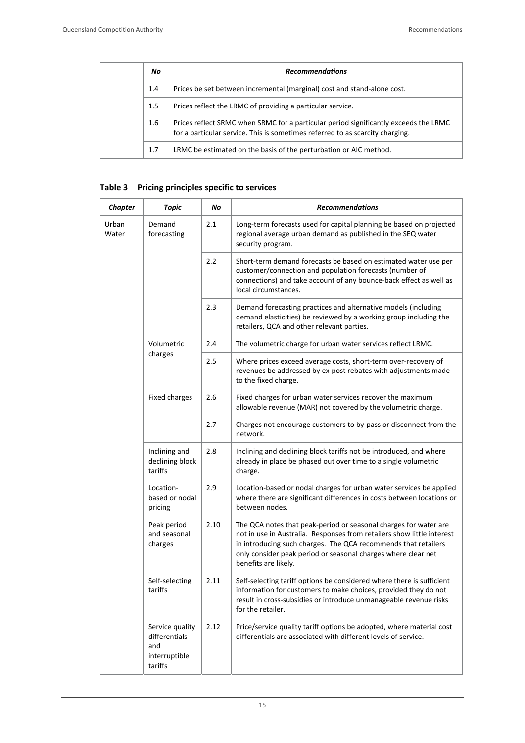| No.     | <b>Recommendations</b>                                                                                                                                                |
|---------|-----------------------------------------------------------------------------------------------------------------------------------------------------------------------|
| 1.4     | Prices be set between incremental (marginal) cost and stand-alone cost.                                                                                               |
| $1.5\,$ | Prices reflect the LRMC of providing a particular service.                                                                                                            |
| 1.6     | Prices reflect SRMC when SRMC for a particular period significantly exceeds the LRMC<br>for a particular service. This is sometimes referred to as scarcity charging. |
| 1.7     | LRMC be estimated on the basis of the perturbation or AIC method.                                                                                                     |

#### **Table 3 Pricing principles specific to services**

| Chapter        | Topic                                                               | No   | <b>Recommendations</b>                                                                                                                                                                                                                                                                                |
|----------------|---------------------------------------------------------------------|------|-------------------------------------------------------------------------------------------------------------------------------------------------------------------------------------------------------------------------------------------------------------------------------------------------------|
| Urban<br>Water | Demand<br>forecasting                                               | 2.1  | Long-term forecasts used for capital planning be based on projected<br>regional average urban demand as published in the SEQ water<br>security program.                                                                                                                                               |
|                |                                                                     | 2.2  | Short-term demand forecasts be based on estimated water use per<br>customer/connection and population forecasts (number of<br>connections) and take account of any bounce-back effect as well as<br>local circumstances.                                                                              |
|                |                                                                     | 2.3  | Demand forecasting practices and alternative models (including<br>demand elasticities) be reviewed by a working group including the<br>retailers, QCA and other relevant parties.                                                                                                                     |
|                | Volumetric                                                          | 2.4  | The volumetric charge for urban water services reflect LRMC.                                                                                                                                                                                                                                          |
|                | charges                                                             | 2.5  | Where prices exceed average costs, short-term over-recovery of<br>revenues be addressed by ex-post rebates with adjustments made<br>to the fixed charge.                                                                                                                                              |
|                | <b>Fixed charges</b>                                                | 2.6  | Fixed charges for urban water services recover the maximum<br>allowable revenue (MAR) not covered by the volumetric charge.                                                                                                                                                                           |
|                |                                                                     | 2.7  | Charges not encourage customers to by-pass or disconnect from the<br>network.                                                                                                                                                                                                                         |
|                | Inclining and<br>declining block<br>tariffs                         | 2.8  | Inclining and declining block tariffs not be introduced, and where<br>already in place be phased out over time to a single volumetric<br>charge.                                                                                                                                                      |
|                | Location-<br>based or nodal<br>pricing                              | 2.9  | Location-based or nodal charges for urban water services be applied<br>where there are significant differences in costs between locations or<br>between nodes.                                                                                                                                        |
|                | Peak period<br>and seasonal<br>charges                              | 2.10 | The QCA notes that peak-period or seasonal charges for water are<br>not in use in Australia. Responses from retailers show little interest<br>in introducing such charges. The QCA recommends that retailers<br>only consider peak period or seasonal charges where clear net<br>benefits are likely. |
|                | Self-selecting<br>tariffs                                           | 2.11 | Self-selecting tariff options be considered where there is sufficient<br>information for customers to make choices, provided they do not<br>result in cross-subsidies or introduce unmanageable revenue risks<br>for the retailer.                                                                    |
|                | Service quality<br>differentials<br>and<br>interruptible<br>tariffs | 2.12 | Price/service quality tariff options be adopted, where material cost<br>differentials are associated with different levels of service.                                                                                                                                                                |

15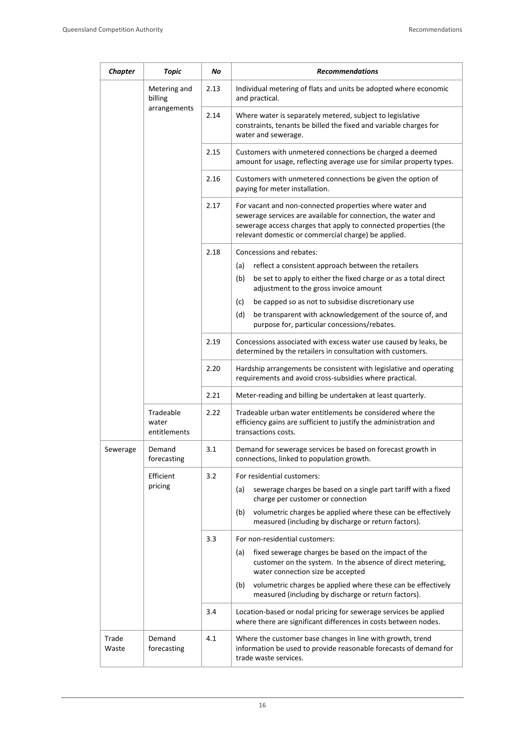| <b>Chapter</b> | Topic                                   | No   | <b>Recommendations</b>                                                                                                                                                                                                                             |
|----------------|-----------------------------------------|------|----------------------------------------------------------------------------------------------------------------------------------------------------------------------------------------------------------------------------------------------------|
|                | Metering and<br>billing<br>arrangements | 2.13 | Individual metering of flats and units be adopted where economic<br>and practical.                                                                                                                                                                 |
|                |                                         | 2.14 | Where water is separately metered, subject to legislative<br>constraints, tenants be billed the fixed and variable charges for<br>water and sewerage.                                                                                              |
|                |                                         | 2.15 | Customers with unmetered connections be charged a deemed<br>amount for usage, reflecting average use for similar property types.                                                                                                                   |
|                |                                         | 2.16 | Customers with unmetered connections be given the option of<br>paying for meter installation.                                                                                                                                                      |
|                |                                         | 2.17 | For vacant and non-connected properties where water and<br>sewerage services are available for connection, the water and<br>sewerage access charges that apply to connected properties (the<br>relevant domestic or commercial charge) be applied. |
|                |                                         | 2.18 | Concessions and rebates:                                                                                                                                                                                                                           |
|                |                                         |      | (a)<br>reflect a consistent approach between the retailers                                                                                                                                                                                         |
|                |                                         |      | (b)<br>be set to apply to either the fixed charge or as a total direct<br>adjustment to the gross invoice amount                                                                                                                                   |
|                |                                         |      | be capped so as not to subsidise discretionary use<br>(c)                                                                                                                                                                                          |
|                |                                         |      | (d)<br>be transparent with acknowledgement of the source of, and<br>purpose for, particular concessions/rebates.                                                                                                                                   |
|                |                                         | 2.19 | Concessions associated with excess water use caused by leaks, be<br>determined by the retailers in consultation with customers.                                                                                                                    |
|                |                                         | 2.20 | Hardship arrangements be consistent with legislative and operating<br>requirements and avoid cross-subsidies where practical.                                                                                                                      |
|                |                                         | 2.21 | Meter-reading and billing be undertaken at least quarterly.                                                                                                                                                                                        |
|                | Tradeable<br>water<br>entitlements      | 2.22 | Tradeable urban water entitlements be considered where the<br>efficiency gains are sufficient to justify the administration and<br>transactions costs.                                                                                             |
| Sewerage       | Demand<br>forecasting                   | 3.1  | Demand for sewerage services be based on forecast growth in<br>connections, linked to population growth.                                                                                                                                           |
|                | Efficient<br>pricing                    | 3.2  | For residential customers:                                                                                                                                                                                                                         |
|                |                                         |      | sewerage charges be based on a single part tariff with a fixed<br>(a)<br>charge per customer or connection                                                                                                                                         |
|                |                                         |      | volumetric charges be applied where these can be effectively<br>(b)<br>measured (including by discharge or return factors).                                                                                                                        |
|                |                                         | 3.3  | For non-residential customers:                                                                                                                                                                                                                     |
|                |                                         |      | fixed sewerage charges be based on the impact of the<br>(a)<br>customer on the system. In the absence of direct metering,<br>water connection size be accepted                                                                                     |
|                |                                         |      | volumetric charges be applied where these can be effectively<br>(b)<br>measured (including by discharge or return factors).                                                                                                                        |
|                |                                         | 3.4  | Location-based or nodal pricing for sewerage services be applied<br>where there are significant differences in costs between nodes.                                                                                                                |
| Trade<br>Waste | Demand<br>forecasting                   | 4.1  | Where the customer base changes in line with growth, trend<br>information be used to provide reasonable forecasts of demand for<br>trade waste services.                                                                                           |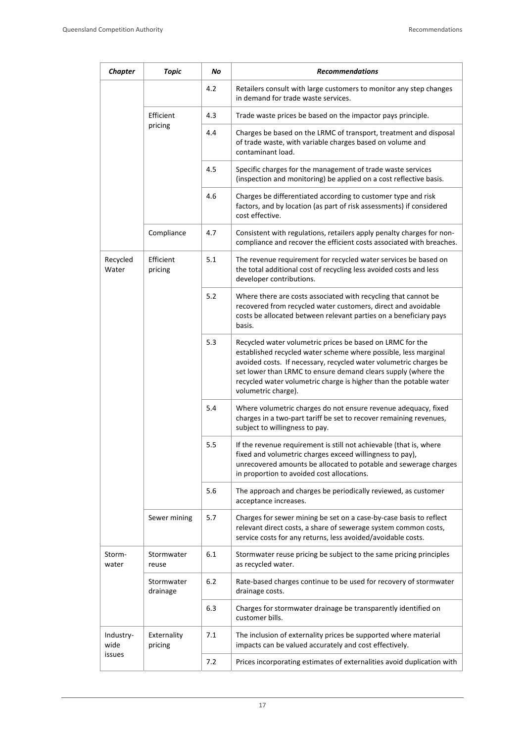| <b>Chapter</b>    | <b>Topic</b>           | No  | <b>Recommendations</b>                                                                                                                                                                                                                                                                                                                                         |
|-------------------|------------------------|-----|----------------------------------------------------------------------------------------------------------------------------------------------------------------------------------------------------------------------------------------------------------------------------------------------------------------------------------------------------------------|
|                   |                        | 4.2 | Retailers consult with large customers to monitor any step changes<br>in demand for trade waste services.                                                                                                                                                                                                                                                      |
|                   | Efficient<br>pricing   | 4.3 | Trade waste prices be based on the impactor pays principle.                                                                                                                                                                                                                                                                                                    |
|                   |                        | 4.4 | Charges be based on the LRMC of transport, treatment and disposal<br>of trade waste, with variable charges based on volume and<br>contaminant load.                                                                                                                                                                                                            |
|                   |                        | 4.5 | Specific charges for the management of trade waste services<br>(inspection and monitoring) be applied on a cost reflective basis.                                                                                                                                                                                                                              |
|                   |                        | 4.6 | Charges be differentiated according to customer type and risk<br>factors, and by location (as part of risk assessments) if considered<br>cost effective.                                                                                                                                                                                                       |
|                   | Compliance             | 4.7 | Consistent with regulations, retailers apply penalty charges for non-<br>compliance and recover the efficient costs associated with breaches.                                                                                                                                                                                                                  |
| Recycled<br>Water | Efficient<br>pricing   | 5.1 | The revenue requirement for recycled water services be based on<br>the total additional cost of recycling less avoided costs and less<br>developer contributions.                                                                                                                                                                                              |
|                   |                        | 5.2 | Where there are costs associated with recycling that cannot be<br>recovered from recycled water customers, direct and avoidable<br>costs be allocated between relevant parties on a beneficiary pays<br>basis.                                                                                                                                                 |
|                   |                        | 5.3 | Recycled water volumetric prices be based on LRMC for the<br>established recycled water scheme where possible, less marginal<br>avoided costs. If necessary, recycled water volumetric charges be<br>set lower than LRMC to ensure demand clears supply (where the<br>recycled water volumetric charge is higher than the potable water<br>volumetric charge). |
|                   |                        | 5.4 | Where volumetric charges do not ensure revenue adequacy, fixed<br>charges in a two-part tariff be set to recover remaining revenues,<br>subject to willingness to pay.                                                                                                                                                                                         |
|                   |                        | 5.5 | If the revenue requirement is still not achievable (that is, where<br>fixed and volumetric charges exceed willingness to pay),<br>unrecovered amounts be allocated to potable and sewerage charges<br>in proportion to avoided cost allocations.                                                                                                               |
|                   |                        | 5.6 | The approach and charges be periodically reviewed, as customer<br>acceptance increases.                                                                                                                                                                                                                                                                        |
|                   | Sewer mining           | 5.7 | Charges for sewer mining be set on a case-by-case basis to reflect<br>relevant direct costs, a share of sewerage system common costs,<br>service costs for any returns, less avoided/avoidable costs.                                                                                                                                                          |
| Storm-<br>water   | Stormwater<br>reuse    | 6.1 | Stormwater reuse pricing be subject to the same pricing principles<br>as recycled water.                                                                                                                                                                                                                                                                       |
|                   | Stormwater<br>drainage | 6.2 | Rate-based charges continue to be used for recovery of stormwater<br>drainage costs.                                                                                                                                                                                                                                                                           |
|                   |                        | 6.3 | Charges for stormwater drainage be transparently identified on<br>customer bills.                                                                                                                                                                                                                                                                              |
| Industry-<br>wide | Externality<br>pricing | 7.1 | The inclusion of externality prices be supported where material<br>impacts can be valued accurately and cost effectively.                                                                                                                                                                                                                                      |
| issues            |                        | 7.2 | Prices incorporating estimates of externalities avoid duplication with                                                                                                                                                                                                                                                                                         |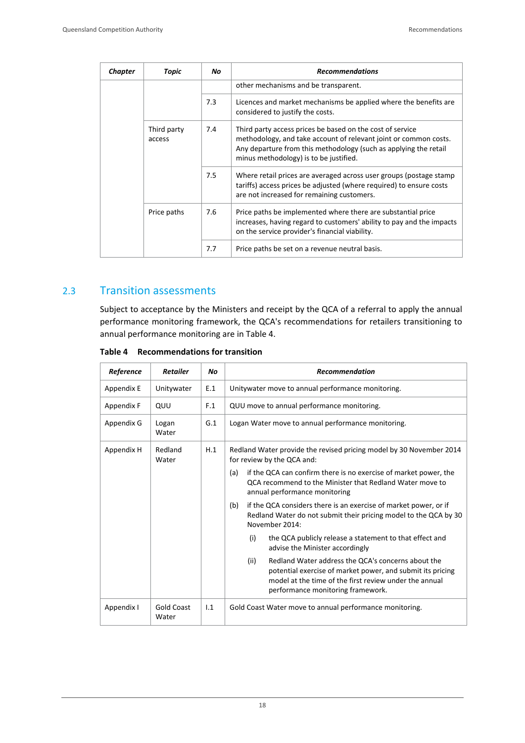| Chapter | Topic                 | No  | <b>Recommendations</b>                                                                                                                                                                                                                      |
|---------|-----------------------|-----|---------------------------------------------------------------------------------------------------------------------------------------------------------------------------------------------------------------------------------------------|
|         |                       |     | other mechanisms and be transparent.                                                                                                                                                                                                        |
|         |                       | 7.3 | Licences and market mechanisms be applied where the benefits are<br>considered to justify the costs.                                                                                                                                        |
|         | Third party<br>access | 7.4 | Third party access prices be based on the cost of service<br>methodology, and take account of relevant joint or common costs.<br>Any departure from this methodology (such as applying the retail<br>minus methodology) is to be justified. |
|         |                       | 7.5 | Where retail prices are averaged across user groups (postage stamp<br>tariffs) access prices be adjusted (where required) to ensure costs<br>are not increased for remaining customers.                                                     |
|         | Price paths           | 7.6 | Price paths be implemented where there are substantial price<br>increases, having regard to customers' ability to pay and the impacts<br>on the service provider's financial viability.                                                     |
|         |                       | 7.7 | Price paths be set on a revenue neutral basis.                                                                                                                                                                                              |

#### 2.3 Transition assessments

Subject to acceptance by the Ministers and receipt by the QCA of a referral to apply the annual performance monitoring framework, the QCA's recommendations for retailers transitioning to annual performance monitoring are in Table 4.

| Table 4 | <b>Recommendations for transition</b> |
|---------|---------------------------------------|
|---------|---------------------------------------|

| Reference  | <b>Retailer</b>     | Nο  | <b>Recommendation</b>                                                                                                                                                                                                   |
|------------|---------------------|-----|-------------------------------------------------------------------------------------------------------------------------------------------------------------------------------------------------------------------------|
| Appendix E | Unitywater          | E.1 | Unitywater move to annual performance monitoring.                                                                                                                                                                       |
| Appendix F | QUU                 | F.1 | QUU move to annual performance monitoring.                                                                                                                                                                              |
| Appendix G | Logan<br>Water      | G.1 | Logan Water move to annual performance monitoring.                                                                                                                                                                      |
| Appendix H | Redland<br>Water    | H.1 | Redland Water provide the revised pricing model by 30 November 2014<br>for review by the QCA and:                                                                                                                       |
|            |                     |     | if the QCA can confirm there is no exercise of market power, the<br>(a)<br>OCA recommend to the Minister that Redland Water move to<br>annual performance monitoring                                                    |
|            |                     |     | if the QCA considers there is an exercise of market power, or if<br>(b)<br>Redland Water do not submit their pricing model to the QCA by 30<br>November 2014:                                                           |
|            |                     |     | the QCA publicly release a statement to that effect and<br>(i)<br>advise the Minister accordingly                                                                                                                       |
|            |                     |     | (ii)<br>Redland Water address the QCA's concerns about the<br>potential exercise of market power, and submit its pricing<br>model at the time of the first review under the annual<br>performance monitoring framework. |
| Appendix I | Gold Coast<br>Water | 1.1 | Gold Coast Water move to annual performance monitoring.                                                                                                                                                                 |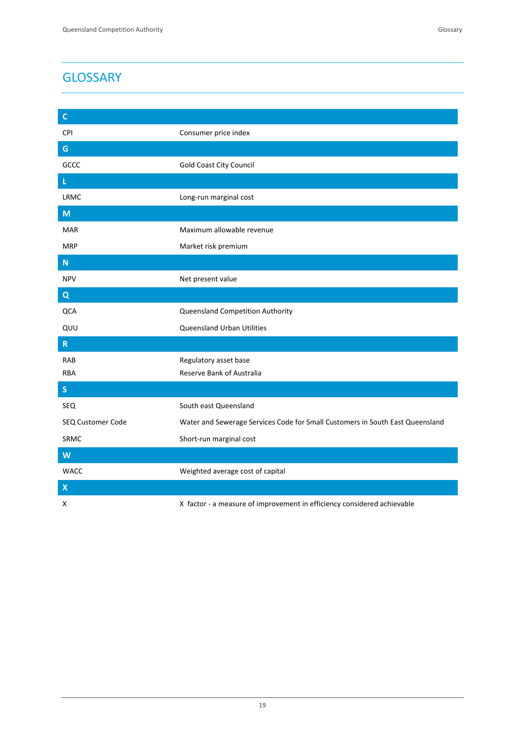# **GLOSSARY**

| $\mathsf C$               |                                                                               |
|---------------------------|-------------------------------------------------------------------------------|
| CPI                       | Consumer price index                                                          |
| ${\mathsf G}$             |                                                                               |
| GCCC                      | <b>Gold Coast City Council</b>                                                |
| $\mathsf L$               |                                                                               |
| LRMC                      | Long-run marginal cost                                                        |
| M                         |                                                                               |
| <b>MAR</b>                | Maximum allowable revenue                                                     |
| <b>MRP</b>                | Market risk premium                                                           |
| ${\sf N}$                 |                                                                               |
| <b>NPV</b>                | Net present value                                                             |
| $\overline{Q}$            |                                                                               |
| QCA                       | Queensland Competition Authority                                              |
| QUU                       | Queensland Urban Utilities                                                    |
| ${\sf R}$                 |                                                                               |
| <b>RAB</b>                | Regulatory asset base                                                         |
| <b>RBA</b>                | Reserve Bank of Australia                                                     |
| $\mathsf S$               |                                                                               |
| SEQ                       | South east Queensland                                                         |
| SEQ Customer Code         | Water and Sewerage Services Code for Small Customers in South East Queensland |
| SRMC                      | Short-run marginal cost                                                       |
| $\overline{\mathsf{W}}$   |                                                                               |
| <b>WACC</b>               | Weighted average cost of capital                                              |
| $\boldsymbol{\mathsf{X}}$ |                                                                               |
| x                         | X factor - a measure of improvement in efficiency considered achievable       |